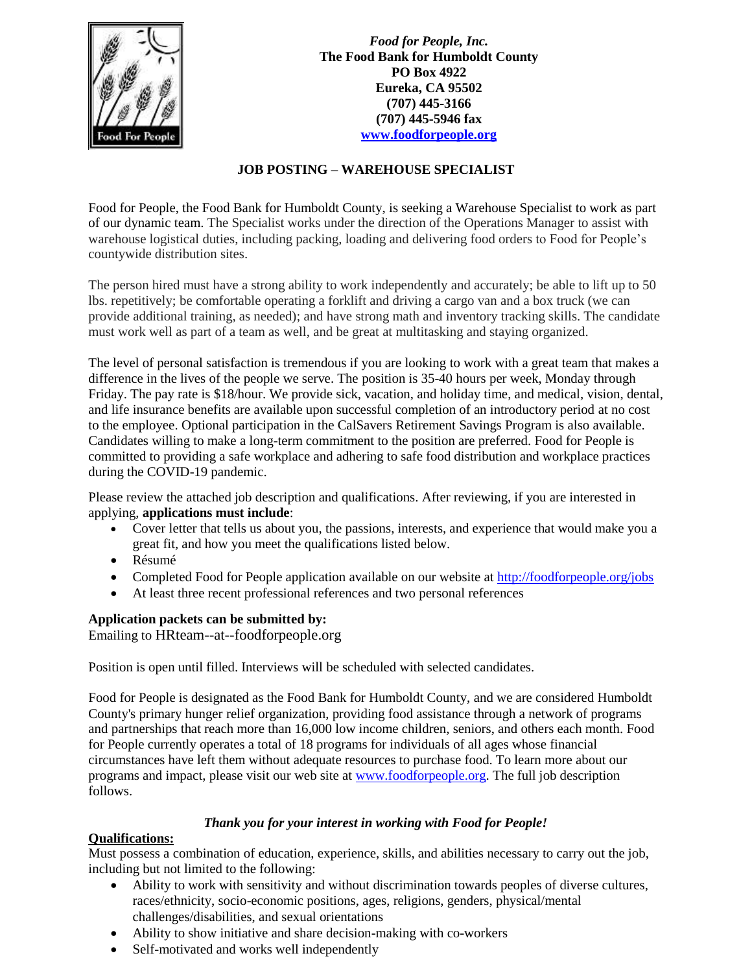

*Food for People, Inc.* **The Food Bank for Humboldt County PO Box 4922 Eureka, CA 95502 (707) 445-3166 (707) 445-5946 fax [www.foodforpeople.org](http://www.foodforpeople.org/)**

## **JOB POSTING – WAREHOUSE SPECIALIST**

Food for People, the Food Bank for Humboldt County, is seeking a Warehouse Specialist to work as part of our dynamic team. The Specialist works under the direction of the Operations Manager to assist with warehouse logistical duties, including packing, loading and delivering food orders to Food for People's countywide distribution sites.

The person hired must have a strong ability to work independently and accurately; be able to lift up to 50 lbs. repetitively; be comfortable operating a forklift and driving a cargo van and a box truck (we can provide additional training, as needed); and have strong math and inventory tracking skills. The candidate must work well as part of a team as well, and be great at multitasking and staying organized.

The level of personal satisfaction is tremendous if you are looking to work with a great team that makes a difference in the lives of the people we serve. The position is 35-40 hours per week, Monday through Friday. The pay rate is \$18/hour. We provide sick, vacation, and holiday time, and medical, vision, dental, and life insurance benefits are available upon successful completion of an introductory period at no cost to the employee. Optional participation in the CalSavers Retirement Savings Program is also available. Candidates willing to make a long-term commitment to the position are preferred. Food for People is committed to providing a safe workplace and adhering to safe food distribution and workplace practices during the COVID-19 pandemic.

Please review the attached job description and qualifications. After reviewing, if you are interested in applying, **applications must include**:

- Cover letter that tells us about you, the passions, interests, and experience that would make you a great fit, and how you meet the qualifications listed below.
- Résumé
- Completed Food for People application available on our website at<http://foodforpeople.org/jobs>
- At least three recent professional references and two personal references

## **Application packets can be submitted by:**

Emailing to HRteam--at--foodforpeople.org

Position is open until filled. Interviews will be scheduled with selected candidates.

Food for People is designated as the Food Bank for Humboldt County, and we are considered Humboldt County's primary hunger relief organization, providing food assistance through a network of programs and partnerships that reach more than 16,000 low income children, seniors, and others each month. Food for People currently operates a total of 18 programs for individuals of all ages whose financial circumstances have left them without adequate resources to purchase food. To learn more about our programs and impact, please visit our web site at [www.foodforpeople.org.](http://www.foodforpeople.org/) The full job description follows.

## *Thank you for your interest in working with Food for People!*

## **Qualifications:**

Must possess a combination of education, experience, skills, and abilities necessary to carry out the job, including but not limited to the following:

- Ability to work with sensitivity and without discrimination towards peoples of diverse cultures, races/ethnicity, socio-economic positions, ages, religions, genders, physical/mental challenges/disabilities, and sexual orientations
- Ability to show initiative and share decision-making with co-workers
- Self-motivated and works well independently